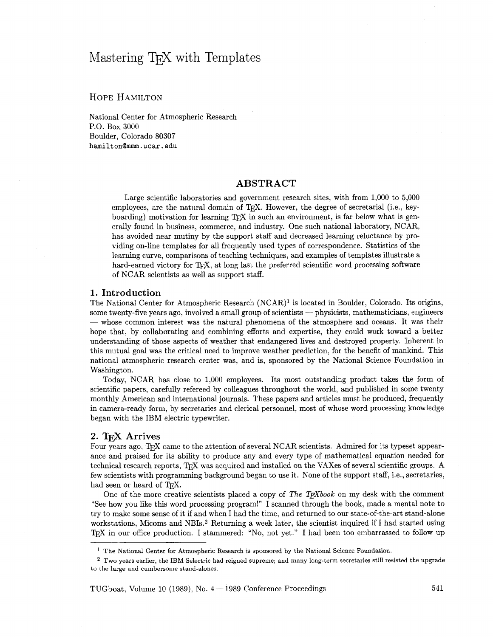# Mastering T<sub>F</sub>X with Templates

# HOPE HAMILTON

National Center for Atmospheric Research P.O. Box 3000 Boulder, Colorado 80307 **hamilton@mmm.** ucar . **edu** 

## **ABSTRACT**

Large scientific laboratories and government research sites, with from 1,000 to 5,000 employees, are the natural domain of TFX. However, the degree of secretarial (i.e., keyboarding) motivation for learning  $T\not\vdash X$  in such an environment, is far below what is generally found in business, commerce, and industry. One such national laboratory, NCAR, has avoided near mutiny by the support staff and decreased learning reluctance by providing on-line templates for all frequently used types of correspondence. Statistics of the learning curve, comparisons of teaching techniques, and examples of templates illustrate a hard-earned victory for T<sub>F</sub>X, at long last the preferred scientific word processing software of NCAR scientists as well as support staff.

### 1. **Introduction**

The National Center for Atmospheric Research (NCAR)<sup>1</sup> is located in Boulder, Colorado. Its origins, some twenty-five years ago, involved a small group of scientists — physicists, mathematicians, engineers where a small gr some twenty-five years ago, involved a small group of scientists — physicists, mathematicians, engineers — whose common interest was the natural phenomena of the atmosphere and oceans. It was their hope that, by collaborating and combining efforts and expertise, they could work toward a better understanding of those aspects of weather that endangered lives and destroyed property. Inherent in this mutual goal was the critical need to improve weather prediction, for the benefit of mankind. This national atmospheric research center was, and is, sponsored by the National Science Foundation in Washington.

Today, NCAR has close to 1,000 employees. Its most outstanding product takes the form of scientific papers, carefully refereed by colleagues throughout the world, and published in some twenty monthly American and international journals. These papers and articles must be produced, frequently in camera-ready form, by secretaries and clerical personnel, most of whose word processing knowledge began with the IBM electric typewriter.

#### 2. **T<sub>F</sub>X** Arrives

Four years ago, TFX came to the attention of several NCAR scientists. Admired for its typeset appearance and praised for its ability to produce any and every type of mathematical equation needed for technical research reports, TFX was acquired and installed on the VAXes of several scientific groups. A few scientists with programming background began to use it. None of the support staff, i.e., secretaries, had seen or heard of T<sub>F</sub>X.

One of the more creative scientists placed a copy of *The T<sub>E</sub>Xbook* on my desk with the comment "See how you like this word processing program!" I scanned through the book, made a mental note to try to make some sense of it if and when I had the time, and returned to our state-of-the-art stand-alone workstations, Micoms and NBIs.<sup>2</sup> Returning a week later, the scientist inquired if I had started using  $T_{FX}$  in our office production. I stammered: "No, not yet." I had been too embarrassed to follow up

 $<sup>1</sup>$  The National Center for Atmospheric Research is sponsored by the National Science Foundation.</sup>

Two years earlier, the IBM Selectric had reigned supreme; and many long-term secretaries still resisted the upgrade to the large and cumbersome stand-alones.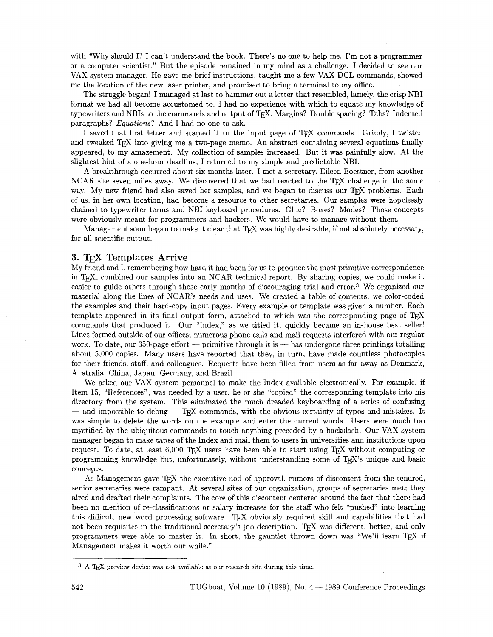with "Why should I? I can't understand the book. There's no one to help me. I'm not a programmer or a computer scientist." But the episode remained in my mind as a challenge. I decided to see our VAX system manager. He gave me brief instructions, taught me a few VAX DCL commands, showed me the location of the new laser printer, and promised to bring a terminal to my office.

The struggle began! I managed at last to hammer out a letter that resembled, lamely, the crisp NBI format we had all become accustomed to. I had no experience with which to equate my knowledge of typewriters and NBIs to the commands and output of TFX. Margins? Double spacing? Tabs? Indented paragraphs? Equations? And I had no one to ask.

I saved that first letter and stapled it to the input page of TEX commands. Grimly, I twisted and tweaked TFX into giving me a two-page memo. An abstract containing several equations finally appeared, to my amazement. My collection of samples increased. But it was painfully slow. At the slightest hint of a one-hour deadline, I returned to my simple and predictable NBI.

A breakthrough occurred about six months later. I met a secretary, Eileen Boettner, from another NCAR site seven miles away. We discovered that we had reacted to the TFX challenge in the same way. My new friend had also saved her samples, and we began to discuss our TpX problems. Each of us, in her own location, had become a resource to other secretaries. Our samples were hopelessly chained to typewriter terms and NBI keyboard procedures. Glue? Boxes? Modes? Those concepts were obviously meant for programmers and hackers. We would have to manage without them.

Management soon began to make it clear that T<sub>F</sub>X was highly desirable, if not absolutely necessary, for all scientific output.

# 3. TFX Templates Arrive

My friend and I, remembering how hard it had been for us to produce the most primitive correspondence in T<sub>F</sub>X, combined our samples into an NCAR technical report. By sharing copies, we could make it easier to guide others through those early months of discouraging trial and error.3 We organized our material along the lines of NCAR's needs and uses. We created a table of contents; we color-coded the examples and their hard-copy input pages. Every example or template was given a number. Each template appeared in its final output form, attached to which was the corresponding page of TpX commands that produced it. Our "Index," as we titled it, quickly became an in-house best seller! Lines formed outside of our offices; numerous phone calls and mail requests interfered with our regular work. To date, our 350-page effort  $-$  primitive through it is  $-$  has undergone three printings totalling about 5,000 copies. Many users have reported that they, in turn, have made countless photocopies for their friends, staff, and colleagues. Requests have been filled from users as far away as Denmark, Australia, China, Japan, Germany, and Brazil.

We asked our VAX system personnel to make the Index available electronically. For example, if Item 15, "References", was needed by a user, he or she "copied" the corresponding template into his directory from the system. This eliminated the much dreaded keyboarding of a series of confusing  $-$  and impossible to debug  $-$  T<sub>F</sub>X commands, with the obvious certainty of typos and mistakes. It was simple to delete the words on the example and enter the current words. Users were much too mystified by the ubiquitous commands to touch anything preceded by a backslash. Our VAX system manager began to make tapes of the Index and mail them to users in universities and institutions upon request. To date, at least  $6,000$  T<sub>F</sub>X users have been able to start using T<sub>F</sub>X without computing or programming knowledge but, unfortunately, without understanding some of T<sub>E</sub>X's unique and basic concepts.

As Management gave TEX the executive nod of approval, rumors of discontent from the tenured, senior secretaries were rampant. At several sites of our organization, groups of secretaries met; they aired and drafted their complaints. The core of this discontent centered around the fact that there had been no mention of re-classifications or salary increases for the staff who felt "pushed" into learning this difficult new word processing software. TEX obviously required skill and capabilities that had not been requisites in the traditional secretary's job description. T<sub>F</sub>X was different, better, and only programmers were able to master it. In short, the gauntlet thrown down was "We'll learn TFX if Management makes it worth our while."

<sup>&</sup>lt;sup>3</sup> A T<sub>F</sub>X preview device was not available at our research site during this time.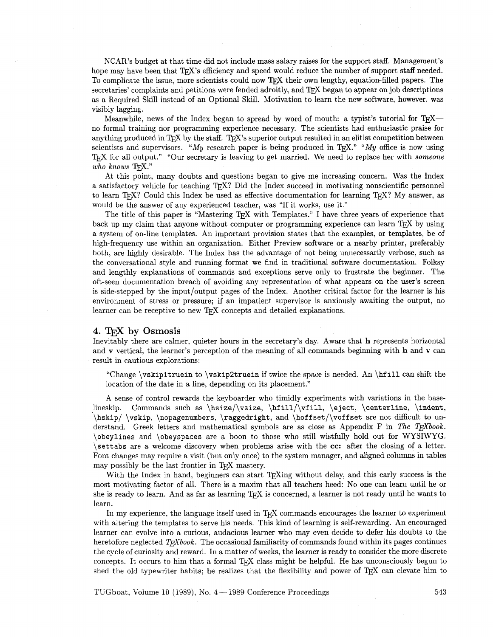NCAR1s budget at that time did not include mass salary raises for the support staff. Management's hope may have been that TFX's efficiency and speed would reduce the number of support staff needed. To complicate the issue, more scientists could now T<sub>E</sub>X their own lengthy, equation-filled papers. The secretaries' complaints and petitions were fended adroitly, and TFX began to appear on job descriptions as a Required Skill instead of an Optional Skill. Motivation to learn the new software, however, was visibly lagging.

Meanwhile, news of the Index began to spread by word of mouth: a typist's tutorial for  $T_{F}X$ no formal training nor programming experience necessary. The scientists had enthusiastic praise for anything produced in T<sub>EX</sub> by the staff. T<sub>EX</sub>'s superior output resulted in an elitist competition between scientists and supervisors. "My research paper is being produced in T<sub>F</sub>X." "My office is now using T<sub>F</sub>X for all output." "Our secretary is leaving to get married. We need to replace her with *someone*  $who$   $knows$   $TrX."$ 

At this point, many doubts and questions began to give me increasing concern. Was the Index a satisfactory vehicle for teaching TFX? Did the Index succeed in motivating nonscientific personnel to learn T<sub>F</sub>X? Could this Index be used as effective documentation for learning T<sub>F</sub>X? My answer, as would be the answer of any experienced teacher, was "If it works, use it."

The title of this paper is "Mastering TFX with Templates." I have three years of experience that back up my claim that anyone without computer or programming experience can learn TEX by using a system of on-line templates. An important provision states that the examples, or templates, be of high-frequency use within an organization. Either Preview software or a nearby printer, preferably both, are highly desirable. The Index has the advantage of not being unnecessarily verbose, such as the conversational style and running format we find in traditional software documentation. Folksy and lengthly explanations of commands and exceptions serve only to frustrate the beginner. The oft-seen documentation breach of avoiding any representation of what appears on the user's screen is side-stepped by the input/output pages of the Index. Another critical factor for the learner is his environment of stress or pressure; if an impatient supervisor is anxiously awaiting the output, no learner can be receptive to new  $T_{F}X$  concepts and detailed explanations.

### **4.** TEX **by** Osmosis

Inevitably there are calmer, quieter hours in the secretary's day. Aware that h represents horizontal and  $\bf{v}$  vertical, the learner's perception of the meaning of all commands beginning with  $\bf{h}$  and  $\bf{v}$  can result in cautious explorations:

"Change \vskip1truein to \vskip2truein if twice the space is needed. An \hfill can shift the location of the date in a line, depending on its placement."

A sense of control rewards the keyboarder who timidly experiments with variations in the baselineskip. Commands such as \hsize/\vsize, \hfill/\vfill, \eject, \centerline, \indent, \hskip/ \vskip, \nopagenumbers, \raggedright, and \hoffset/\voffset are not difficult to understand. Greek letters and mathematical symbols are as close as Appendix F in The T<sub>F</sub>Xbook. \obeylines and \obeyspaces are a boon to those who still wistfully hold out for WYSIWYG. \settabs are a welcome discovery when problems arise with the **cc:** after the closing of a letter. Font changes may require a visit (but only once) to the system manager, and aligned columns in tables may possibly be the last frontier in T<sub>E</sub>X mastery.

With the Index in hand, beginners can start  $T_F X$ ing without delay, and this early success is the most motivating factor of all. There is a maxim that all teachers heed: No one can learn until he or she is ready to learn. And as far as learning T<sub>F</sub>X is concerned, a learner is not ready until he wants to learn.

In my experience, the language itself used in TEX commands encourages the learner to experiment with altering the templates to serve his needs. This kind of learning is self-rewarding. An encouraged learner can evolve into a curious, audacious learner who may even decide to defer his doubts to the heretofore neglected *T<sub>F</sub>Xbook*. The occasional familiarity of commands found within its pages continues the cycle of curiosity and reward. In a matter of weeks, the learner is ready to consider the more discrete concepts. It occurs to him that a formal TEX class might be helpful. He has unconsciously begun to shed the old typewriter habits; he realizes that the flexibility and power of T<sub>E</sub>X can elevate him to

TUGboat. Volume 10 (1989), No. 4 – 1989 Conference Proceedings 543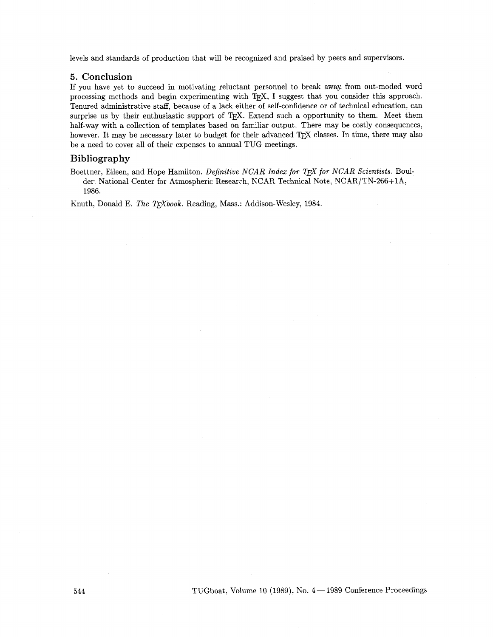levels and standards of production that will be recognized and praised by peers and supervisors.

### **5. Conclusion**

If you have yet to succeed in motivating reluctant personnel to break away from out-moded word processing methods and begin experimenting with TEX, I suggest that you consider this approach. Tenured administrative staff, because of a lack either of self-confidence or of technical education, can surprise us by their enthusiastic support of TEX. Extend such a opportunity to them. Meet them half-way with a collection of templates based on familiar output. There may be costly consequences, however. It may be necessary later to budget for their advanced T<sub>EX</sub> classes. In time, there may also be a need to cover all of their expenses to annual TUG meetings.

# **Bibliography**

Boettner, Eileen, and Hope Hamilton. *Definitive NCAR Index* for **for** *NCAR Scientists.* Boulder: National Center for Atmospheric Research, NCAR Technical Note, NCARJTN-266+1A, 1986.

Knuth, Donald E. *The TEXbook*. Reading, Mass.: Addison-Wesley, 1984.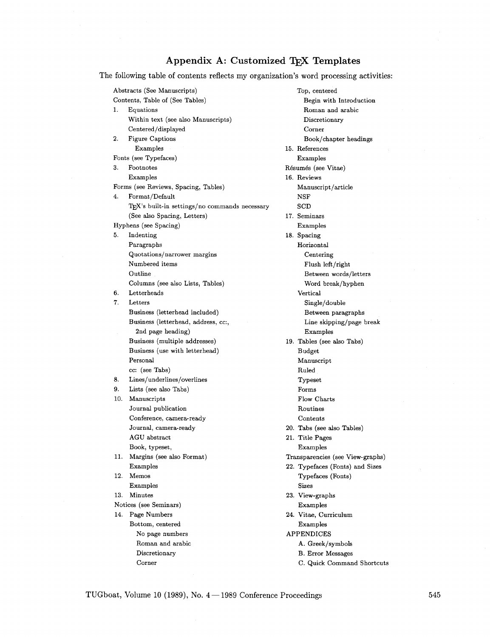# **Appendix A: Customized** TjjX **Templates**

The following table of contents reflects my organization's word processing activities:

Abstracts (See Manuscripts) Contents, Table of (See Tables) **1.** Equations Within text (see also Manuscripts) Centered/displayed 2. Figure Captions Examples Fonts (see Typefaces) **3.** Footnotes Examples Forms (see Reviews, Spacing, Tables) 4. Format/Default TFX's built-in settings/no commands necessary (See also Spacing, Letters) Hyphens (see Spacing) **5.** Indenting Paragraphs Quotations/narrower margins Numbered items Outline Columns (see also Lists, Tables) **6.** Letterheads **7.** Letters Business (letterhead included) Business (letterhead, address, cc:, 2nd page heading) Business (multiple addresses) Business (use with letterhead) Personal cc: (see Tabs) 8. Lines/underlines/overlines 9. Lists (see also Tabs) **10.** Manuscripts Journal publication Conference, camera-ready Journal, camera-ready AGU abstract Book, typeset, **11.** Margins (see also Format) Examples **12.** Memos Examples **13.** Minutes Notices (see Seminars) 14. Page Numbers Bottom, centered No page numbers Roman and arabic Discretionary Corner

Top, centered Begin with Introduction Roman and arabic Discretionary Corner Book/chapter headings **15.** References Examples Résumés (see Vitae) **16.** Reviews Manuscript/article NSF **SCD 17.** Seminars Examples **18.** Spacing Horizontal Centering Flush left/right Between words/letters Word break/hyphen Vertical Single/double Between paragraphs Line skipping/page break Examples **19.** Tables (see also Tabs) Budget Manuscript Ruled Typeset Forms Flow Charts Routines Contents 20. Tabs (see also Tables) **21.** Title Pages Examples Transparencies (see View-graphs) **22.** Typefaces (Fonts) and Sizes Typefaces (Fonts) Sizes **23.** View-graphs Examples 24. Vitae, Curriculum Examples APPENDICES A. Greek/symbols B. Error Messages C. Quick Command Shortcuts

TUGboat, Volume 10 (1989), No.  $4 - 1989$  Conference Proceedings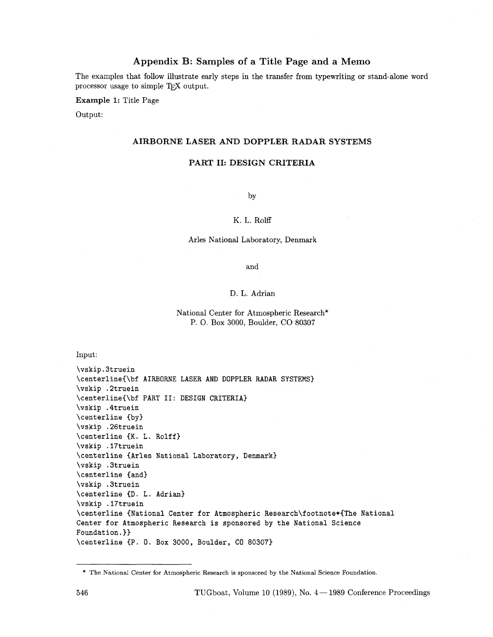# **Appendix B: Samples of a Title Page and a Memo**

The examples that follow illustrate early steps in the transfer from typewriting or stand-alone word processor usage to simple T<sub>E</sub>X output.

**Example** 1: Title Page

Output:

# **AIRBORNE LASER AND DOPPLER RADAR SYSTEMS**

### **PART 11: DESIGN CRITERIA**

by

### K. L. Rolff

### Arles National Laboratory, Denmark

and

### D. L. Adrian

## National Center for Atmospheric Research\* P. 0. Box 3000, Boulder, CO <sup>80307</sup>

Input:

\vskip.3truein \centerline(\bf AIRBORNE LASER AND DOPPLER RADAR SYSTEMS) \vskip .2truein \centerline(\bf PART 11: DESIGN CRITERIA) \vskip .4truein \centerline (by) \vskip .26truein \centerline **CK.** L. Rolff) \vskip .17truein \centerline (Arles National Laboratory, Denmark) \vskip .3truein \centerline (and) \vskip .3truein \centerline (D. L. Adrian) \vskip .17truein \centerline (National Center for Atmospheric Research\footnote\*(The National Center for Atmospheric Research is sponsored by the National Science Foundation, **1)**  \centerline CP. 0. Box 3000, Boulder, CO 80307)

<sup>\*</sup> The National Center for Atmospheric Research is sponsored by the National Science Foundation.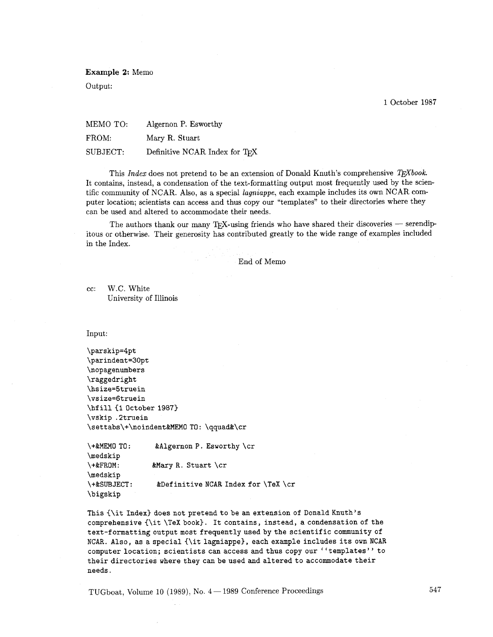**Example** 2: Memo

Output:

1 October 1987

MEMO TO: Algernon P. Esworthy FROM: Mary R. Stuart SUBJECT: Definitive NCAR Index for TFX

This *Index* does not pretend to be an extension of Donald Knuth's comprehensive *T<sub>E</sub>Xbook*. It contains, instead, a condensation of the text-formatting output most frequently used by the scientific community of NCAR. Also, as a special *lagniappe,* each example includes its own NCAR computer location; scientists can access and thus copy our "templates" to their directories where they can be used and altered to accommodate their needs.

The authors thank our many TEX-using friends who have shared their discoveries  $-$  serendipitous or otherwise. Their generosity has contributed greatly to the wide range of examples included in the Index.

End of Memo

cc: W.C. White University of Illinois

Input:

\parskip=4pt \parindent=30pt \nopagenumbers \raggedright \hsize=5truein \vsize=6truein \hfill {1 October 1987} \vskip .2truein **\settabs\+\noindent&MEMO** TO: \qquad&\cr

\+&MEMO TO : &Algernon **P.** Esworthy \cr \medskip \+&FROM: &Mary R. Stuart \cr \medskip \+&SUBJECT: &Definitive NCAR Index for \TeX \cr \bigskip

This (\it Index) does not pretend to be an extension of Donald Knuth's comprehensive {\it \TeX book). It contains, instead, a condensation of the text-formatting output most frequentlyusedbythe scientific community of NCAR. Also, as a special {\it lagniappe), each example includes its own NCAR computer location; scientists can access and thus copy our ''templates'' to their directories where they can be used and altered to accommodate their needs.

TUGboat, Volume 10 (1989), No. 4 - 1989 Conference Proceedings

547